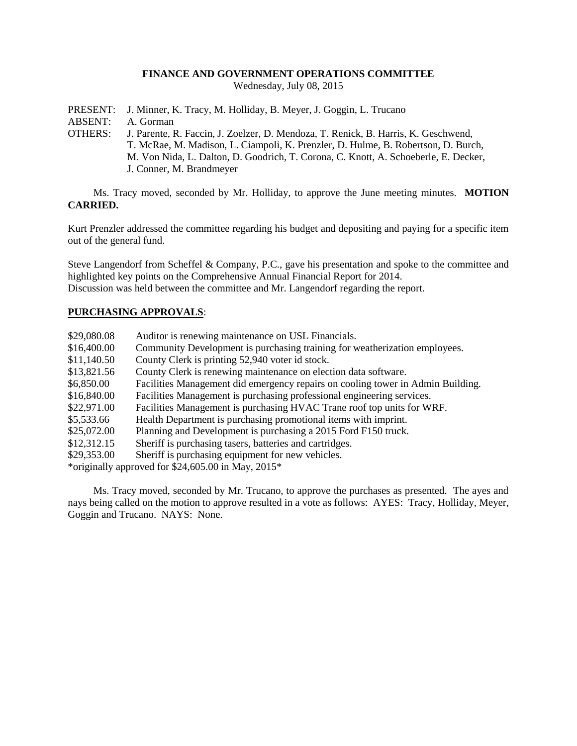## **FINANCE AND GOVERNMENT OPERATIONS COMMITTEE**

Wednesday, July 08, 2015

- PRESENT: J. Minner, K. Tracy, M. Holliday, B. Meyer, J. Goggin, L. Trucano
- ABSENT: A. Gorman
- OTHERS: J. Parente, R. Faccin, J. Zoelzer, D. Mendoza, T. Renick, B. Harris, K. Geschwend, T. McRae, M. Madison, L. Ciampoli, K. Prenzler, D. Hulme, B. Robertson, D. Burch, M. Von Nida, L. Dalton, D. Goodrich, T. Corona, C. Knott, A. Schoeberle, E. Decker, J. Conner, M. Brandmeyer

Ms. Tracy moved, seconded by Mr. Holliday, to approve the June meeting minutes. **MOTION CARRIED.**

Kurt Prenzler addressed the committee regarding his budget and depositing and paying for a specific item out of the general fund.

Steve Langendorf from Scheffel & Company, P.C., gave his presentation and spoke to the committee and highlighted key points on the Comprehensive Annual Financial Report for 2014. Discussion was held between the committee and Mr. Langendorf regarding the report.

## **PURCHASING APPROVALS**:

| \$29,080.08                                           | Auditor is renewing maintenance on USL Financials.                              |
|-------------------------------------------------------|---------------------------------------------------------------------------------|
| \$16,400.00                                           | Community Development is purchasing training for weatherization employees.      |
| \$11,140.50                                           | County Clerk is printing 52,940 voter id stock.                                 |
| \$13,821.56                                           | County Clerk is renewing maintenance on election data software.                 |
| \$6,850.00                                            | Facilities Management did emergency repairs on cooling tower in Admin Building. |
| \$16,840.00                                           | Facilities Management is purchasing professional engineering services.          |
| \$22,971.00                                           | Facilities Management is purchasing HVAC Trane roof top units for WRF.          |
| \$5,533.66                                            | Health Department is purchasing promotional items with imprint.                 |
| \$25,072.00                                           | Planning and Development is purchasing a 2015 Ford F150 truck.                  |
| \$12,312.15                                           | Sheriff is purchasing tasers, batteries and cartridges.                         |
| \$29,353.00                                           | Sheriff is purchasing equipment for new vehicles.                               |
| *originally approved for $$24,605.00$ in May, $2015*$ |                                                                                 |

Ms. Tracy moved, seconded by Mr. Trucano, to approve the purchases as presented. The ayes and nays being called on the motion to approve resulted in a vote as follows: AYES: Tracy, Holliday, Meyer, Goggin and Trucano. NAYS: None.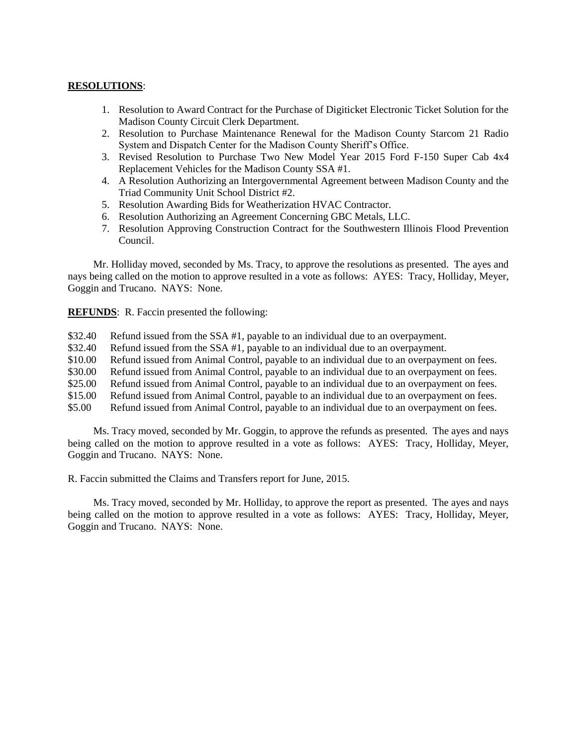## **RESOLUTIONS**:

- 1. Resolution to Award Contract for the Purchase of Digiticket Electronic Ticket Solution for the Madison County Circuit Clerk Department.
- 2. Resolution to Purchase Maintenance Renewal for the Madison County Starcom 21 Radio System and Dispatch Center for the Madison County Sheriff's Office.
- 3. Revised Resolution to Purchase Two New Model Year 2015 Ford F-150 Super Cab 4x4 Replacement Vehicles for the Madison County SSA #1.
- 4. A Resolution Authorizing an Intergovernmental Agreement between Madison County and the Triad Community Unit School District #2.
- 5. Resolution Awarding Bids for Weatherization HVAC Contractor.
- 6. Resolution Authorizing an Agreement Concerning GBC Metals, LLC.
- 7. Resolution Approving Construction Contract for the Southwestern Illinois Flood Prevention Council.

Mr. Holliday moved, seconded by Ms. Tracy, to approve the resolutions as presented. The ayes and nays being called on the motion to approve resulted in a vote as follows: AYES: Tracy, Holliday, Meyer, Goggin and Trucano. NAYS: None.

**REFUNDS**: R. Faccin presented the following:

- \$32.40 Refund issued from the SSA #1, payable to an individual due to an overpayment.
- \$32.40 Refund issued from the SSA #1, payable to an individual due to an overpayment.
- \$10.00 Refund issued from Animal Control, payable to an individual due to an overpayment on fees.
- \$30.00 Refund issued from Animal Control, payable to an individual due to an overpayment on fees.
- \$25.00 Refund issued from Animal Control, payable to an individual due to an overpayment on fees.
- \$15.00 Refund issued from Animal Control, payable to an individual due to an overpayment on fees.
- \$5.00 Refund issued from Animal Control, payable to an individual due to an overpayment on fees.

Ms. Tracy moved, seconded by Mr. Goggin, to approve the refunds as presented. The ayes and nays being called on the motion to approve resulted in a vote as follows: AYES: Tracy, Holliday, Meyer, Goggin and Trucano. NAYS: None.

R. Faccin submitted the Claims and Transfers report for June, 2015.

Ms. Tracy moved, seconded by Mr. Holliday, to approve the report as presented. The ayes and nays being called on the motion to approve resulted in a vote as follows: AYES: Tracy, Holliday, Meyer, Goggin and Trucano. NAYS: None.